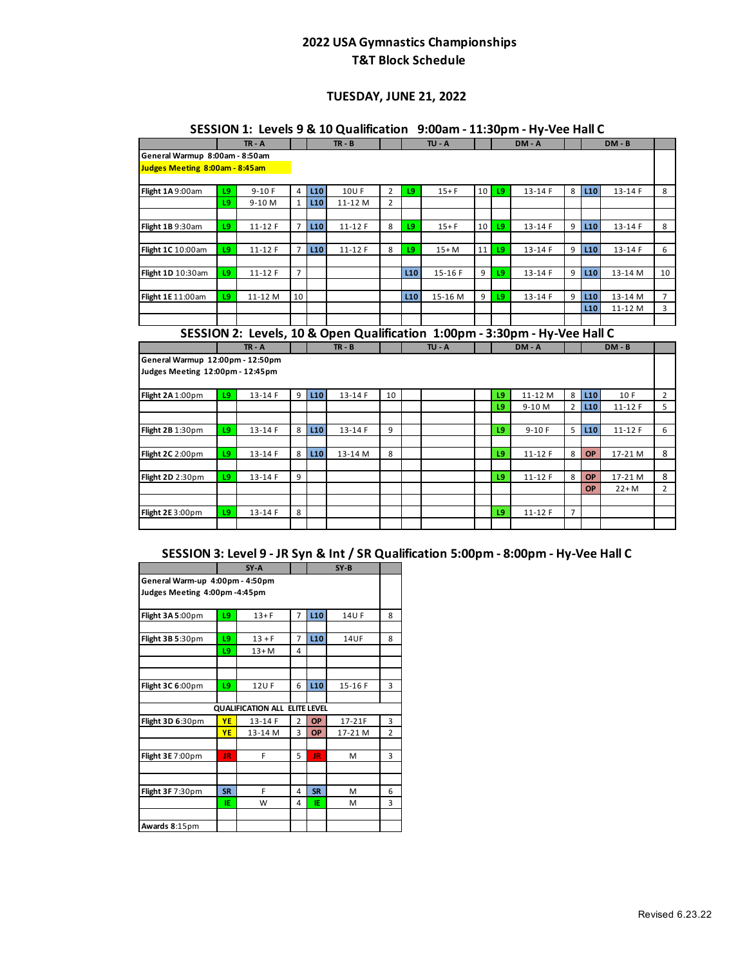#### **TUESDAY, JUNE 21, 2022**

|                                  |    | $TR - A$  |                |                 | $TR - B$    |                |                 | $TU - A$                                                                   |    |     | DM-A      |                |                 | $DM - B$   |                |
|----------------------------------|----|-----------|----------------|-----------------|-------------|----------------|-----------------|----------------------------------------------------------------------------|----|-----|-----------|----------------|-----------------|------------|----------------|
| General Warmup 8:00am - 8:50am   |    |           |                |                 |             |                |                 |                                                                            |    |     |           |                |                 |            |                |
| Judges Meeting 8:00am - 8:45am   |    |           |                |                 |             |                |                 |                                                                            |    |     |           |                |                 |            |                |
|                                  |    |           |                |                 |             |                |                 |                                                                            |    |     |           |                |                 |            |                |
| Flight 1A 9:00am                 | 19 | $9-10F$   | 4              | L10             | <b>10UF</b> | $\overline{2}$ | L9              | $15 + F$                                                                   | 10 | L9  | 13-14 F   | 8              | L <sub>10</sub> | 13-14 F    | 8              |
|                                  | L9 | 9-10 M    | $\mathbf{1}$   | L <sub>10</sub> | 11-12 M     | $\overline{2}$ |                 |                                                                            |    |     |           |                |                 |            |                |
|                                  |    |           |                |                 |             |                |                 |                                                                            |    |     |           |                |                 |            |                |
| Flight 1B 9:30am                 | L9 | 11-12 F   | $\overline{7}$ | L10             | $11 - 12F$  | 8              | L9              | $15 + F$                                                                   | 10 | L9  | 13-14 F   | 9              | L <sub>10</sub> | 13-14 F    | 8              |
| Flight 1C 10:00am                | L9 | $11-12$ F | $\overline{7}$ | L10             | $11-12$ F   | 8              | L9              | $15+M$                                                                     | 11 | L9  | 13-14 F   | 9              | L10             | 13-14 F    | 6              |
|                                  |    |           |                |                 |             |                |                 |                                                                            |    |     |           |                |                 |            |                |
| Flight 1D 10:30am                | L9 | $11-12$ F | $\overline{7}$ |                 |             |                | L <sub>10</sub> | 15-16 F                                                                    | 9  | L9  | 13-14 F   | 9              | L <sub>10</sub> | 13-14 M    | 10             |
|                                  |    |           |                |                 |             |                |                 |                                                                            |    |     |           |                |                 |            |                |
| Flight 1E 11:00am                | L9 | 11-12 M   | 10             |                 |             |                | L <sub>10</sub> | 15-16 M                                                                    | 9  | L9  | 13-14 F   | 9              | L <sub>10</sub> | 13-14 M    | $\overline{7}$ |
|                                  |    |           |                |                 |             |                |                 |                                                                            |    |     |           |                | L10             | 11-12 M    | 3              |
|                                  |    |           |                |                 |             |                |                 |                                                                            |    |     |           |                |                 |            |                |
|                                  |    |           |                |                 |             |                |                 |                                                                            |    |     |           |                |                 |            |                |
|                                  |    |           |                |                 |             |                |                 | SESSION 2: Levels, 10 & Open Qualification 1:00pm - 3:30pm - Hy-Vee Hall C |    |     |           |                |                 |            |                |
|                                  |    | $TR - A$  |                |                 | $TR - B$    |                |                 | <b>TU - A</b>                                                              |    |     | DM - A    |                |                 | $DM - B$   |                |
| General Warmup 12:00pm - 12:50pm |    |           |                |                 |             |                |                 |                                                                            |    |     |           |                |                 |            |                |
| Judges Meeting 12:00pm - 12:45pm |    |           |                |                 |             |                |                 |                                                                            |    |     |           |                |                 |            |                |
|                                  |    |           |                |                 |             |                |                 |                                                                            |    |     |           |                |                 |            |                |
| Flight 2A 1:00pm                 | L9 | 13-14 F   | 9              | L10             | 13-14 F     | 10             |                 |                                                                            |    | 19  | 11-12 M   | 8              | L <sub>10</sub> | 10F        | $\overline{2}$ |
|                                  |    |           |                |                 |             |                |                 |                                                                            |    | L9  | 9-10 M    | $\overline{2}$ | L10             | $11 - 12F$ | 5              |
|                                  | 19 | 13-14 F   | 8              | L <sub>10</sub> | 13-14 F     | 9              |                 |                                                                            |    | 19  | $9-10F$   | 5              | L <sub>10</sub> | 11-12 F    | 6              |
| Flight 2B 1:30pm                 |    |           |                |                 |             |                |                 |                                                                            |    |     |           |                |                 |            |                |
| Flight 2C 2:00pm                 | L9 | 13-14 F   | 8              | L10             | 13-14 M     | 8              |                 |                                                                            |    | 19  | $11-12$ F | 8              | OP              | 17-21 M    | 8              |
|                                  |    |           |                |                 |             |                |                 |                                                                            |    |     |           |                |                 |            |                |
| Flight 2D 2:30pm                 | 19 | 13-14 F   | 9              |                 |             |                |                 |                                                                            |    | 19  | 11-12 F   | 8              | OP              | 17-21 M    | 8              |
|                                  |    |           |                |                 |             |                |                 |                                                                            |    |     |           |                | <b>OP</b>       | $22+M$     | $\overline{2}$ |
|                                  |    |           |                |                 |             |                |                 |                                                                            |    |     |           |                |                 |            |                |
|                                  |    |           |                |                 |             |                |                 |                                                                            |    |     |           |                |                 |            |                |
| Flight 2E 3:00pm                 | L9 | 13-14 F   | 8              |                 |             |                |                 |                                                                            |    | 1.9 | $11-12F$  | $\overline{7}$ |                 |            |                |

#### **SESSION 1: Levels 9 & 10 Qualification 9:00am - 11:30pm - Hy-Vee Hall C**

# **SESSION 3: Level 9 - JR Syn & Int / SR Qualification 5:00pm - 8:00pm - Hy-Vee Hall C**

|                                                 |           | $SY - A$                             |                |                 | $SY-B$      |                |  |  |  |  |  |  |  |  |
|-------------------------------------------------|-----------|--------------------------------------|----------------|-----------------|-------------|----------------|--|--|--|--|--|--|--|--|
| General Warm-up 4:00pm - 4:50pm                 |           |                                      |                |                 |             |                |  |  |  |  |  |  |  |  |
| Judges Meeting 4:00pm-4:45pm                    |           |                                      |                |                 |             |                |  |  |  |  |  |  |  |  |
| L <sub>10</sub><br>L9<br>7<br>$13 + F$<br>14U F |           |                                      |                |                 |             |                |  |  |  |  |  |  |  |  |
| Flight 3A 5:00pm                                |           |                                      |                |                 |             | 8              |  |  |  |  |  |  |  |  |
|                                                 |           |                                      |                |                 |             |                |  |  |  |  |  |  |  |  |
| Flight 3B 5:30pm                                | L9        | $13 + F$                             | 7              | L10             | <b>14UF</b> | 8              |  |  |  |  |  |  |  |  |
|                                                 | L9        | $13+M$                               | 4              |                 |             |                |  |  |  |  |  |  |  |  |
|                                                 |           |                                      |                |                 |             |                |  |  |  |  |  |  |  |  |
|                                                 |           |                                      |                |                 |             |                |  |  |  |  |  |  |  |  |
| Flight 3C 6:00pm                                | L9        | 12UF                                 | 6              | L <sub>10</sub> | 15-16 F     | 3              |  |  |  |  |  |  |  |  |
|                                                 |           |                                      |                |                 |             |                |  |  |  |  |  |  |  |  |
|                                                 |           | <b>QUALIFICATION ALL ELITE LEVEL</b> |                |                 |             |                |  |  |  |  |  |  |  |  |
| Flight 3D 6:30pm                                | YE        | $13 - 14F$                           | $\overline{2}$ | OP              | $17-21F$    | 3              |  |  |  |  |  |  |  |  |
|                                                 | YE        | 13-14 M                              | 3              | OP              | 17-21 M     | $\overline{2}$ |  |  |  |  |  |  |  |  |
|                                                 |           |                                      |                |                 |             |                |  |  |  |  |  |  |  |  |
| Flight 3E 7:00pm                                | <b>JR</b> | F                                    | 5              | JR              | м           | 3              |  |  |  |  |  |  |  |  |
|                                                 |           |                                      |                |                 |             |                |  |  |  |  |  |  |  |  |
|                                                 |           |                                      |                |                 |             |                |  |  |  |  |  |  |  |  |
| Flight 3F 7:30pm                                | <b>SR</b> | F                                    | 4              | <b>SR</b>       | м           | 6              |  |  |  |  |  |  |  |  |
|                                                 | ΙE        | W                                    | 4              | IE.             | М           | 3              |  |  |  |  |  |  |  |  |
|                                                 |           |                                      |                |                 |             |                |  |  |  |  |  |  |  |  |
| Awards 8:15pm                                   |           |                                      |                |                 |             |                |  |  |  |  |  |  |  |  |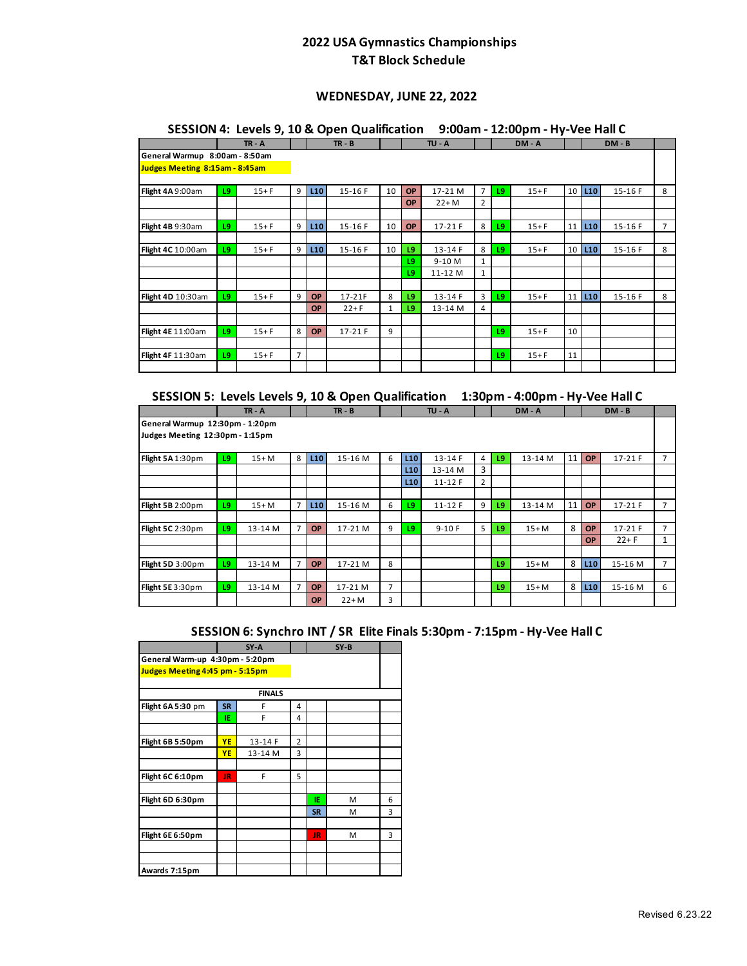### **WEDNESDAY, JUNE 22, 2022**

### **SESSION 4: Levels 9, 10 & Open Qualification 9:00am - 12:00pm - Hy-Vee Hall C**

|                                |    | $TR - A$ |   |           | $TR - B$  |              |           | $TU - A$  |                |    | DM-A     |                 |     | $DM - B$ |                |
|--------------------------------|----|----------|---|-----------|-----------|--------------|-----------|-----------|----------------|----|----------|-----------------|-----|----------|----------------|
| General Warmup 8:00am - 8:50am |    |          |   |           |           |              |           |           |                |    |          |                 |     |          |                |
| Judges Meeting 8:15am - 8:45am |    |          |   |           |           |              |           |           |                |    |          |                 |     |          |                |
|                                |    |          |   |           |           |              |           |           |                |    |          |                 |     |          |                |
| Flight 4A 9:00am               | L9 | $15 + F$ | 9 | L10       | 15-16 F   | 10           | <b>OP</b> | 17-21 M   | $\overline{7}$ | 19 | $15 + F$ | 10 <sup>1</sup> | L10 | $15-16F$ | 8              |
|                                |    |          |   |           |           |              | <b>OP</b> | $22+M$    | $\overline{2}$ |    |          |                 |     |          |                |
|                                |    |          |   |           |           |              |           |           |                |    |          |                 |     |          |                |
| Flight 4B 9:30am               | 19 | $15+F$   | 9 | L10       | 15-16 F   | 10           | <b>OP</b> | $17-21 F$ | 8              | L9 | $15+F$   | 11              | L10 | 15-16 F  | $\overline{7}$ |
|                                |    |          |   |           |           |              |           |           |                |    |          |                 |     |          |                |
| Flight 4C 10:00am              | L9 | $15 + F$ | 9 | L10       | 15-16 F   | 10           | 19        | 13-14 F   | 8              | L9 | $15 + F$ | 10 <sup>1</sup> | L10 | $15-16F$ | 8              |
|                                |    |          |   |           |           |              | L9.       | $9-10M$   | 1              |    |          |                 |     |          |                |
|                                |    |          |   |           |           |              | L9        | 11-12 M   | $\mathbf{1}$   |    |          |                 |     |          |                |
|                                |    |          |   |           |           |              |           |           |                |    |          |                 |     |          |                |
| Flight 4D 10:30am              | 19 | $15+F$   | 9 | <b>OP</b> | 17-21F    | 8            | 19        | 13-14 F   | 3              | L9 | $15+F$   | 11              | L10 | 15-16 F  | 8              |
|                                |    |          |   | <b>OP</b> | $22+F$    | $\mathbf{1}$ | 19        | 13-14 M   | 4              |    |          |                 |     |          |                |
|                                |    |          |   |           |           |              |           |           |                |    |          |                 |     |          |                |
| <b>Flight 4E 11:00am</b>       | 19 | $15 + F$ | 8 | OP        | $17-21$ F | 9            |           |           |                | L9 | $15 + F$ | 10              |     |          |                |
|                                |    |          |   |           |           |              |           |           |                |    |          |                 |     |          |                |
| Flight 4F 11:30am              | L9 | $15+F$   | 7 |           |           |              |           |           |                | L9 | $15 + F$ | 11              |     |          |                |
|                                |    |          |   |           |           |              |           |           |                |    |          |                 |     |          |                |

| SESSION 5: Levels Levels 9, 10 & Open Qualification 1:30pm - 4:00pm - Hy-Vee Hall C |  |  |
|-------------------------------------------------------------------------------------|--|--|
|-------------------------------------------------------------------------------------|--|--|

|                                                                                                                                                        |    | $TR - A$ |                |           | $TR - B$ |   |                 | TU - A     |   |    | DM-A    |    |                 | $DM - B$ |                |
|--------------------------------------------------------------------------------------------------------------------------------------------------------|----|----------|----------------|-----------|----------|---|-----------------|------------|---|----|---------|----|-----------------|----------|----------------|
| General Warmup 12:30pm - 1:20pm                                                                                                                        |    |          |                |           |          |   |                 |            |   |    |         |    |                 |          |                |
| Judges Meeting 12:30pm - 1:15pm<br>11<br>8<br>15-16 M<br>6<br>L10<br>13-14 F<br>13-14 M<br>17-21 F<br>L9<br>L10<br>19<br><b>OP</b><br>7<br>$15+M$<br>4 |    |          |                |           |          |   |                 |            |   |    |         |    |                 |          |                |
| Flight 5A 1:30pm                                                                                                                                       |    |          |                |           |          |   |                 |            |   |    |         |    |                 |          |                |
|                                                                                                                                                        |    |          |                |           |          |   | L10             | 13-14 M    | 3 |    |         |    |                 |          |                |
|                                                                                                                                                        |    |          |                |           |          |   | L <sub>10</sub> | $11 - 12F$ | 2 |    |         |    |                 |          |                |
|                                                                                                                                                        |    |          |                |           |          |   |                 |            |   |    |         |    |                 |          |                |
| Flight 5B 2:00pm                                                                                                                                       | 19 | $15+M$   | $\overline{7}$ | L10       | 15-16 M  | 6 | 19              | $11 - 12F$ | 9 | L9 | 13-14 M | 11 | <b>OP</b>       | 17-21 F  | 7              |
|                                                                                                                                                        |    |          |                |           |          |   |                 |            |   |    |         |    |                 |          |                |
| Flight 5C 2:30pm                                                                                                                                       | L9 | 13-14 M  | 7              | <b>OP</b> | 17-21 M  | 9 | L9              | $9-10F$    | 5 | 19 | $15+M$  | 8  | <b>OP</b>       | 17-21 F  | $\overline{7}$ |
|                                                                                                                                                        |    |          |                |           |          |   |                 |            |   |    |         |    | <b>OP</b>       | $22 + F$ | $\mathbf{1}$   |
|                                                                                                                                                        |    |          |                |           |          |   |                 |            |   |    |         |    |                 |          |                |
| Flight 5D 3:00pm                                                                                                                                       | L9 | 13-14 M  | $\overline{7}$ | <b>OP</b> | 17-21 M  | 8 |                 |            |   | 19 | $15+M$  | 8  | L <sub>10</sub> | 15-16 M  | $\overline{7}$ |
|                                                                                                                                                        |    |          |                |           |          |   |                 |            |   |    |         |    |                 |          |                |
| Flight 5E 3:30pm                                                                                                                                       | L9 | 13-14 M  | 7              | <b>OP</b> | 17-21 M  | 7 |                 |            |   | 19 | $15+M$  | 8  | L <sub>10</sub> | 15-16 M  | 6              |
|                                                                                                                                                        |    |          |                | <b>OP</b> | $22+M$   | 3 |                 |            |   |    |         |    |                 |          |                |

### **SESSION 6: Synchro INT / SR Elite Finals 5:30pm - 7:15pm - Hy-Vee Hall C**

|                                 |           | SY-A          |                |           | $SY-B$ |   |
|---------------------------------|-----------|---------------|----------------|-----------|--------|---|
| General Warm-up 4:30pm - 5:20pm |           |               |                |           |        |   |
| Judges Meeting 4:45 pm - 5:15pm |           |               |                |           |        |   |
|                                 |           |               |                |           |        |   |
|                                 |           | <b>FINALS</b> |                |           |        |   |
| Flight 6A 5:30 pm               | <b>SR</b> | F             | 4              |           |        |   |
|                                 | ΙE        | F             | 4              |           |        |   |
|                                 |           |               |                |           |        |   |
| Flight 6B 5:50pm                | YE        | 13-14 F       | $\overline{2}$ |           |        |   |
|                                 | YE        | 13-14 M       | 3              |           |        |   |
|                                 |           |               |                |           |        |   |
| Flight 6C 6:10pm                | <b>JR</b> | F             | 5              |           |        |   |
|                                 |           |               |                |           |        |   |
| Flight 6D 6:30pm                |           |               |                | ΙE        | м      | 6 |
|                                 |           |               |                | <b>SR</b> | M      | 3 |
|                                 |           |               |                |           |        |   |
| Flight 6E 6:50pm                |           |               |                | JR.       | M      | 3 |
|                                 |           |               |                |           |        |   |
|                                 |           |               |                |           |        |   |
| Awards 7:15pm                   |           |               |                |           |        |   |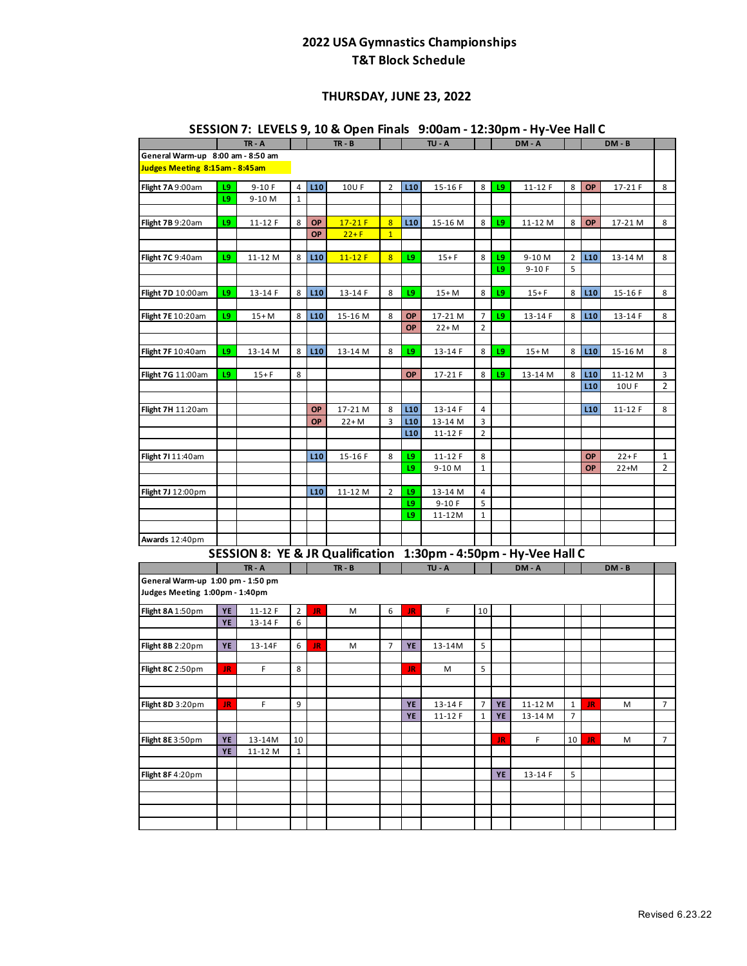### **THURSDAY, JUNE 23, 2022**

|                                                                     |     |            |                |           |            |                |           |           |                |    | 3E3310N 7: LEVELS 9, IU & Open Finals   9.00am - IZ.30pm - Hy-vee Hall C |                |                 |            |                |
|---------------------------------------------------------------------|-----|------------|----------------|-----------|------------|----------------|-----------|-----------|----------------|----|--------------------------------------------------------------------------|----------------|-----------------|------------|----------------|
|                                                                     |     | $TR - A$   |                |           | $TR - B$   |                |           | $TU - A$  |                |    | DM-A                                                                     |                |                 | DM - B     |                |
| General Warm-up 8:00 am - 8:50 am<br>Judges Meeting 8:15am - 8:45am |     |            |                |           |            |                |           |           |                |    |                                                                          |                |                 |            |                |
| Flight 7A 9:00am                                                    | 19  | $9-10F$    | $\overline{4}$ | L10       | 10U F      | $\overline{2}$ | L10       | 15-16 F   | 8              | L9 | $11 - 12F$                                                               | 8              | <b>OP</b>       | 17-21 F    | 8              |
|                                                                     | L9  | 9-10 M     | $1\,$          |           |            |                |           |           |                |    |                                                                          |                |                 |            |                |
|                                                                     |     |            |                |           |            |                |           |           |                |    |                                                                          |                |                 |            |                |
| Flight 7B 9:20am                                                    | L9  | $11 - 12F$ | 8              | OP        | $17-21F$   | $\overline{8}$ | L10       | 15-16 M   | 8              | L9 | 11-12 M                                                                  | 8              | OP              | 17-21 M    | 8              |
|                                                                     |     |            |                | OP        | $22+F$     | $\overline{1}$ |           |           |                |    |                                                                          |                |                 |            |                |
|                                                                     |     |            |                |           |            |                |           |           |                |    |                                                                          |                |                 |            |                |
| Flight 7C 9:40am                                                    | L9  | 11-12 M    | 8              | L10       | $11 - 12F$ | 8 <sup>2</sup> | L9        | $15 + F$  | 8              | L9 | 9-10 M                                                                   | $\overline{2}$ | L10             | 13-14 M    | 8              |
|                                                                     |     |            |                |           |            |                |           |           |                | L9 | $9-10F$                                                                  | 5              |                 |            |                |
|                                                                     |     |            |                |           |            |                |           |           |                |    |                                                                          |                |                 |            |                |
| Flight 7D 10:00am                                                   | L9  | 13-14 F    | 8              | L10       | 13-14 F    | 8              | L9        | $15+M$    | 8              | 19 | $15 + F$                                                                 | 8              | L10             | 15-16 F    | 8              |
|                                                                     |     |            |                |           |            |                |           |           |                |    |                                                                          |                |                 |            |                |
| Flight 7E 10:20am                                                   | L9  | $15+M$     | 8              | L10       | 15-16 M    | 8              | OP        | 17-21 M   | $\overline{7}$ | L9 | 13-14 F                                                                  | 8              | L10             | 13-14 F    | 8              |
|                                                                     |     |            |                |           |            |                | OP        | $22 + M$  | $\overline{2}$ |    |                                                                          |                |                 |            |                |
| Flight 7F 10:40am                                                   | L9  | 13-14 M    | 8              | L10       | 13-14 M    | 8              | 19        | 13-14 F   | 8              | L9 | $15+M$                                                                   | 8              | L10             | 15-16 M    | 8              |
|                                                                     |     |            |                |           |            |                |           |           |                |    |                                                                          |                |                 |            |                |
| Flight 7G 11:00am                                                   | L9  | $15 + F$   | 8              |           |            |                | <b>OP</b> | 17-21 F   | 8              | L9 | 13-14 M                                                                  | 8              | L10             | 11-12 M    | 3              |
|                                                                     |     |            |                |           |            |                |           |           |                |    |                                                                          |                | L <sub>10</sub> | 10U F      | $\overline{2}$ |
|                                                                     |     |            |                |           |            |                |           |           |                |    |                                                                          |                |                 |            |                |
| Flight 7H 11:20am                                                   |     |            |                | OP        | 17-21 M    | 8              | L10       | 13-14 F   | 4              |    |                                                                          |                | L <sub>10</sub> | $11 - 12F$ | 8              |
|                                                                     |     |            |                | OP        | $22 + M$   | 3              | L10       | 13-14 M   | 3              |    |                                                                          |                |                 |            |                |
|                                                                     |     |            |                |           |            |                | L10       | 11-12 F   | $\overline{2}$ |    |                                                                          |                |                 |            |                |
|                                                                     |     |            |                |           |            |                |           |           |                |    |                                                                          |                |                 |            |                |
| Flight 7111:40am                                                    |     |            |                | L10       | 15-16 F    | 8              | L9        | 11-12 F   | 8              |    |                                                                          |                | OP              | $22+F$     | $\mathbf{1}$   |
|                                                                     |     |            |                |           |            |                | 19        | 9-10 M    | $1\,$          |    |                                                                          |                | OP              | $22+M$     | 2              |
|                                                                     |     |            |                |           |            |                |           |           |                |    |                                                                          |                |                 |            |                |
| Flight 7J 12:00pm                                                   |     |            |                | L10       | 11-12 M    | $\overline{2}$ | L9        | 13-14 M   | 4              |    |                                                                          |                |                 |            |                |
|                                                                     |     |            |                |           |            |                | L9        | $9-10 F$  | 5              |    |                                                                          |                |                 |            |                |
|                                                                     |     |            |                |           |            |                | L9        | 11-12M    | $\mathbf{1}$   |    |                                                                          |                |                 |            |                |
|                                                                     |     |            |                |           |            |                |           |           |                |    |                                                                          |                |                 |            |                |
| Awards 12:40pm                                                      |     |            |                |           |            |                |           |           |                |    |                                                                          |                |                 |            |                |
|                                                                     |     |            |                |           |            |                |           |           |                |    | SESSION 8: YE & JR Qualification 1:30pm - 4:50pm - Hy-Vee Hall C         |                |                 |            |                |
|                                                                     |     | $TR - A$   |                |           | $TR - B$   |                |           | $TU - A$  |                |    | DM - A                                                                   |                |                 | $DM - B$   |                |
| General Warm-up 1:00 pm - 1:50 pm                                   |     |            |                |           |            |                |           |           |                |    |                                                                          |                |                 |            |                |
| Judges Meeting 1:00pm - 1:40pm                                      |     |            |                |           |            |                |           |           |                |    |                                                                          |                |                 |            |                |
| Flight 8A 1:50pm                                                    | YE  | $11 - 12F$ | $\overline{2}$ | JR        | M          | 6              | JR        | F.        | 10             |    |                                                                          |                |                 |            |                |
|                                                                     | YE  | 13-14 F    | 6              |           |            |                |           |           |                |    |                                                                          |                |                 |            |                |
|                                                                     |     |            |                |           |            |                |           |           |                |    |                                                                          |                |                 |            |                |
| Flight 8B 2:20pm                                                    | YE  | 13-14F     | 6              | <b>JR</b> | М          | $\overline{7}$ | YE        | 13-14M    | 5              |    |                                                                          |                |                 |            |                |
|                                                                     |     |            |                |           |            |                |           |           |                |    |                                                                          |                |                 |            |                |
| Flight 8C 2:50pm                                                    | JR  | F.         | 8              |           |            |                | JR        | M         | 5              |    |                                                                          |                |                 |            |                |
|                                                                     |     |            |                |           |            |                |           |           |                |    |                                                                          |                |                 |            |                |
|                                                                     |     |            |                |           |            |                |           |           |                |    |                                                                          |                |                 |            |                |
| Flight 8D 3:20pm                                                    | JR. | F          | 9              |           |            |                | YE        | 13-14 F   | 7              | YE | 11-12 M                                                                  | $\mathbf{1}$   | JR.             | M          | $\overline{7}$ |
|                                                                     |     |            |                |           |            |                | YE        | $11-12$ F | 1              | YE | 13-14 M                                                                  | 7              |                 |            |                |
|                                                                     |     |            |                |           |            |                |           |           |                |    |                                                                          |                |                 |            |                |
| Flight 8E 3:50pm                                                    | YE  | 13-14M     | 10             |           |            |                |           |           |                | JR | F                                                                        | 10             | JR              | M          | $\overline{7}$ |
|                                                                     | YE  | 11-12 M    | $\mathbf{1}$   |           |            |                |           |           |                |    |                                                                          |                |                 |            |                |
|                                                                     |     |            |                |           |            |                |           |           |                |    |                                                                          |                |                 |            |                |
| Flight 8F 4:20pm                                                    |     |            |                |           |            |                |           |           |                | YE | 13-14 F                                                                  | 5              |                 |            |                |
|                                                                     |     |            |                |           |            |                |           |           |                |    |                                                                          |                |                 |            |                |
|                                                                     |     |            |                |           |            |                |           |           |                |    |                                                                          |                |                 |            |                |
|                                                                     |     |            |                |           |            |                |           |           |                |    |                                                                          |                |                 |            |                |
|                                                                     |     |            |                |           |            |                |           |           |                |    |                                                                          |                |                 |            |                |

#### **SESSION 7: LEVELS 9, 10 & Open Finals 9:00am - 12:30pm - Hy-Vee Hall C**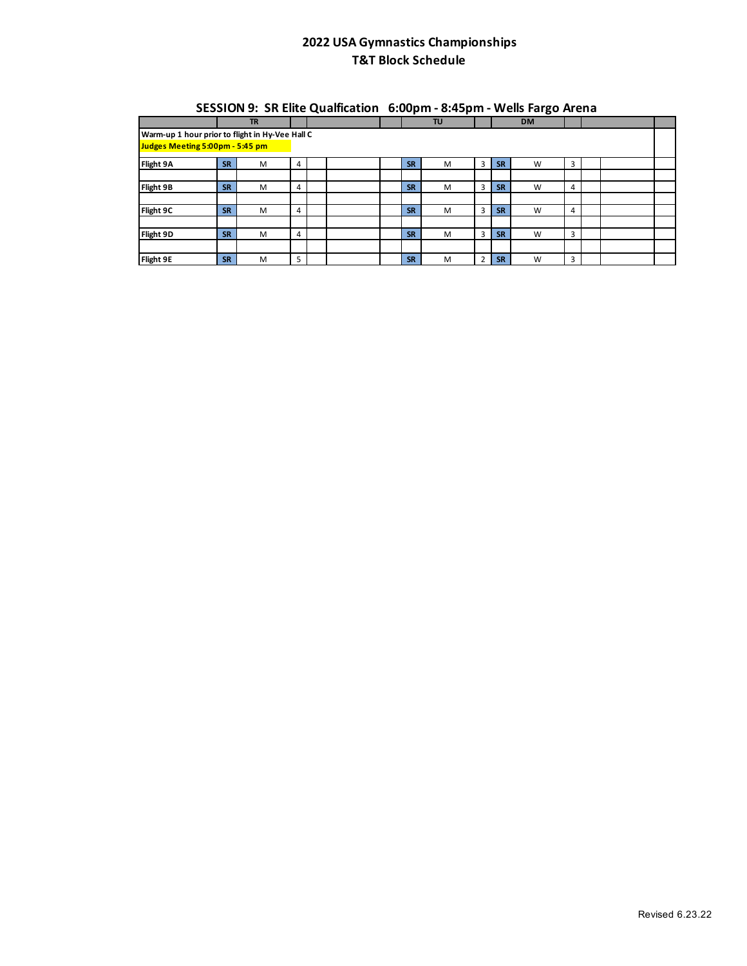|                                                 |           |           |   | ---- |           |    |   |           | . <b>.</b> |   |  |  |
|-------------------------------------------------|-----------|-----------|---|------|-----------|----|---|-----------|------------|---|--|--|
|                                                 |           | <b>TR</b> |   |      |           | TU |   |           | <b>DM</b>  |   |  |  |
| Warm-up 1 hour prior to flight in Hy-Vee Hall C |           |           |   |      |           |    |   |           |            |   |  |  |
| Judges Meeting 5:00pm - 5:45 pm                 |           |           |   |      |           |    |   |           |            |   |  |  |
| Flight 9A                                       | <b>SR</b> | M         | 4 |      | <b>SR</b> | M  | 3 | <b>SR</b> | W          | 3 |  |  |
|                                                 |           |           |   |      |           |    |   |           |            |   |  |  |
| Flight 9B                                       | <b>SR</b> | M         | 4 |      | <b>SR</b> | M  | 3 | <b>SR</b> | W          | 4 |  |  |
|                                                 |           |           |   |      |           |    |   |           |            |   |  |  |
| Flight 9C                                       | <b>SR</b> | M         | 4 |      | <b>SR</b> | M  | 3 | <b>SR</b> | W          | 4 |  |  |
|                                                 |           |           |   |      |           |    |   |           |            |   |  |  |
| Flight 9D                                       | <b>SR</b> | M         | 4 |      | <b>SR</b> | M  | 3 | <b>SR</b> | W          | 3 |  |  |
|                                                 |           |           |   |      |           |    |   |           |            |   |  |  |
| Flight 9E                                       | <b>SR</b> | M         | 5 |      | <b>SR</b> | M  | 2 | <b>SR</b> | W          | 3 |  |  |

#### **SESSION 9: SR Elite Qualfication 6:00pm - 8:45pm - Wells Fargo Arena**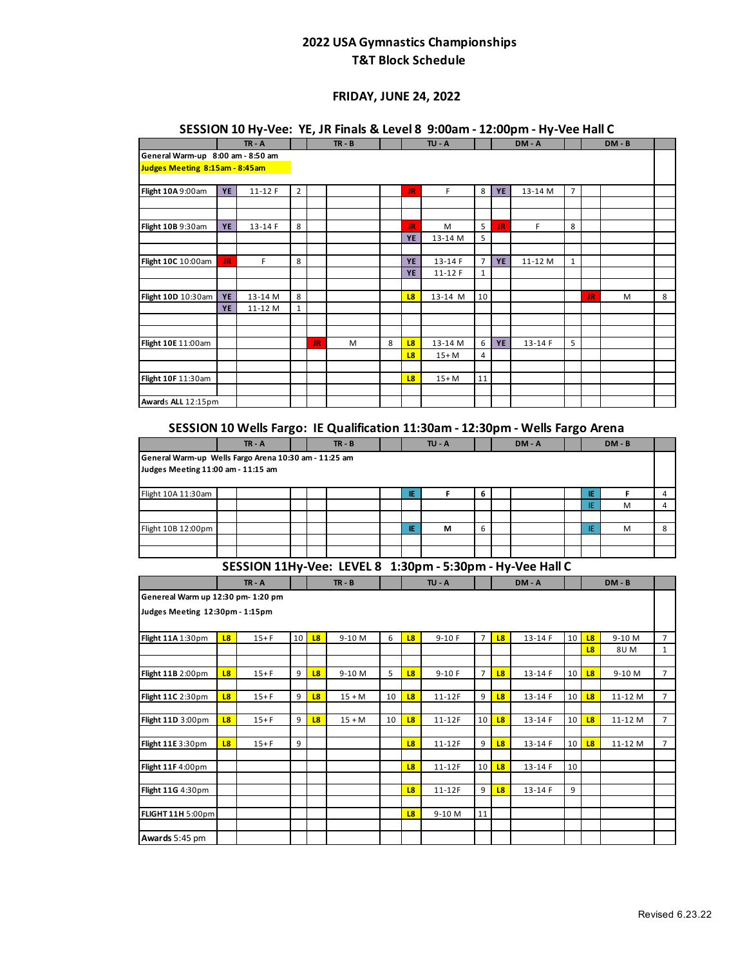### **FRIDAY, JUNE 24, 2022**

### **SESSION 10 Hy-Vee: YE, JR Finals & Level 8 9:00am - 12:00pm - Hy-Vee Hall C**

|                                                       |           | $TR - A$ |                |    | $TR - B$                  |   |                | $TU - A$ |                |    | DM-A                                                                           |                |           | $DM - B$ |   |
|-------------------------------------------------------|-----------|----------|----------------|----|---------------------------|---|----------------|----------|----------------|----|--------------------------------------------------------------------------------|----------------|-----------|----------|---|
| General Warm-up 8:00 am - 8:50 am                     |           |          |                |    |                           |   |                |          |                |    |                                                                                |                |           |          |   |
| Judges Meeting 8:15am - 8:45am                        |           |          |                |    |                           |   |                |          |                |    |                                                                                |                |           |          |   |
|                                                       |           |          |                |    |                           |   |                |          |                |    |                                                                                |                |           |          |   |
| Flight 10A 9:00am                                     | YE        | 11-12 F  | $\overline{2}$ |    |                           |   | <b>JR</b>      | F        | 8              | YE | 13-14 M                                                                        | $\overline{7}$ |           |          |   |
|                                                       |           |          |                |    |                           |   |                |          |                |    |                                                                                |                |           |          |   |
|                                                       |           |          |                |    |                           |   |                |          |                |    |                                                                                |                |           |          |   |
| Flight 10B 9:30am                                     | <b>YE</b> | 13-14 F  | 8              |    |                           |   | JR             | M        | 5              | JR | F                                                                              | 8              |           |          |   |
|                                                       |           |          |                |    |                           |   | <b>YE</b>      | 13-14 M  | 5              |    |                                                                                |                |           |          |   |
|                                                       |           |          |                |    |                           |   |                |          |                |    |                                                                                |                |           |          |   |
| Flight 10C 10:00am                                    | JR        | F.       | 8              |    |                           |   | <b>YE</b>      | 13-14 F  | $\overline{7}$ | YE | 11-12 M                                                                        | $\mathbf{1}$   |           |          |   |
|                                                       |           |          |                |    |                           |   | <b>YE</b>      | 11-12 F  | $\mathbf{1}$   |    |                                                                                |                |           |          |   |
|                                                       | <b>YE</b> | 13-14 M  | 8              |    |                           |   | L <sub>8</sub> | 13-14 M  | 10             |    |                                                                                |                | <b>JR</b> | м        | 8 |
| Flight 10D 10:30am                                    | YE        | 11-12 M  | $\mathbf{1}$   |    |                           |   |                |          |                |    |                                                                                |                |           |          |   |
|                                                       |           |          |                |    |                           |   |                |          |                |    |                                                                                |                |           |          |   |
|                                                       |           |          |                |    |                           |   |                |          |                |    |                                                                                |                |           |          |   |
| Flight 10E 11:00am                                    |           |          |                | JR | M                         | 8 | L8             | 13-14 M  | 6              | YE | 13-14 F                                                                        | 5              |           |          |   |
|                                                       |           |          |                |    |                           |   | L <sub>8</sub> | $15+M$   | 4              |    |                                                                                |                |           |          |   |
|                                                       |           |          |                |    |                           |   |                |          |                |    |                                                                                |                |           |          |   |
| Flight 10F 11:30am                                    |           |          |                |    |                           |   | L <sub>8</sub> | $15+M$   | 11             |    |                                                                                |                |           |          |   |
|                                                       |           |          |                |    |                           |   |                |          |                |    |                                                                                |                |           |          |   |
| Awards ALL 12:15pm                                    |           |          |                |    |                           |   |                |          |                |    |                                                                                |                |           |          |   |
|                                                       |           |          |                |    |                           |   |                |          |                |    |                                                                                |                |           |          |   |
|                                                       |           |          |                |    |                           |   |                |          |                |    | SESSION 10 Wells Fargo: IE Qualification 11:30am - 12:30pm - Wells Fargo Arena |                |           |          |   |
|                                                       |           | $TR - A$ |                |    | $TR - B$                  |   |                | $TU - A$ |                |    | DM-A                                                                           |                |           | $DM - B$ |   |
|                                                       |           |          |                |    |                           |   |                |          |                |    |                                                                                |                |           |          |   |
| General Warm-up Wells Fargo Arena 10:30 am - 11:25 am |           |          |                |    |                           |   |                |          |                |    |                                                                                |                |           |          |   |
| Judges Meeting 11:00 am - 11:15 am                    |           |          |                |    |                           |   |                |          |                |    |                                                                                |                |           |          |   |
|                                                       |           |          |                |    |                           |   | IE             | F        | 6              |    |                                                                                |                | IE.       | F        | 4 |
| Flight 10A 11:30am                                    |           |          |                |    |                           |   |                |          |                |    |                                                                                |                | IE        | M        | 4 |
|                                                       |           |          |                |    |                           |   |                |          |                |    |                                                                                |                |           |          |   |
| Flight 10B 12:00pm                                    |           |          |                |    |                           |   | IE             | М        | 6              |    |                                                                                |                | IE        | М        | 8 |
|                                                       |           |          |                |    |                           |   |                |          |                |    |                                                                                |                |           |          |   |
|                                                       |           |          |                |    |                           |   |                |          |                |    |                                                                                |                |           |          |   |
|                                                       |           |          |                |    |                           |   |                |          |                |    | SESSION 11Hy-Vee: LEVEL 8 1:30pm - 5:30pm - Hy-Vee Hall C                      |                |           |          |   |
|                                                       |           |          |                |    | $\mathbf{r}$ $\mathbf{r}$ |   |                |          |                |    |                                                                                |                |           |          |   |

| 3LJJIUN IIII)-VEE. LLVLLO IIJUPIII-JIJUPIII-III)-VEE HAII C |                |          |                 |                |          |    |                |          |                |                |         |    |                |            |                |
|-------------------------------------------------------------|----------------|----------|-----------------|----------------|----------|----|----------------|----------|----------------|----------------|---------|----|----------------|------------|----------------|
|                                                             |                | $TR - A$ |                 |                | $TR - B$ |    |                | TU - A   |                |                | DM-A    |    |                | $DM - B$   |                |
| Genereal Warm up 12:30 pm- 1:20 pm                          |                |          |                 |                |          |    |                |          |                |                |         |    |                |            |                |
| Judges Meeting 12:30pm - 1:15pm                             |                |          |                 |                |          |    |                |          |                |                |         |    |                |            |                |
| Flight 11A 1:30pm                                           | L8             | $15 + F$ | 10 <sup>1</sup> | L8             | 9-10 M   | 6  | L8             | $9-10F$  | 7              | L <sub>8</sub> | 13-14 F | 10 | 18             | 9-10 M     | $\overline{7}$ |
|                                                             |                |          |                 |                |          |    |                |          |                |                |         |    | L <sub>8</sub> | <b>8UM</b> | $\mathbf{1}$   |
|                                                             |                |          |                 |                |          |    |                |          |                |                |         |    |                |            |                |
| Flight 11B 2:00pm                                           | <b>L8</b>      | $15+F$   | 9               | L <sub>8</sub> | 9-10 M   | 5  | L <sub>8</sub> | $9-10F$  | $\overline{7}$ | 18             | 13-14 F | 10 | 18             | 9-10 M     | $\overline{7}$ |
|                                                             |                |          |                 |                |          |    |                |          |                |                |         |    |                |            |                |
| Flight 11C 2:30pm                                           | 18             | $15 + F$ | 9               | L <sub>8</sub> | $15 + M$ | 10 | L8             | $11-12F$ | 9              | L <sub>8</sub> | 13-14 F | 10 | 18             | 11-12 M    | $\overline{7}$ |
|                                                             |                |          |                 |                |          |    |                |          |                |                |         |    |                |            |                |
| Flight 11D 3:00pm                                           | L <sub>8</sub> | $15 + F$ | 9               | L <sub>8</sub> | $15 + M$ | 10 | L <sub>8</sub> | $11-12F$ | 10             | <b>L8</b>      | 13-14 F | 10 | <b>L8</b>      | 11-12 M    | $\overline{7}$ |
|                                                             |                |          |                 |                |          |    |                |          |                |                |         |    |                |            |                |
| Flight 11E 3:30pm                                           | 18             | $15 + F$ | 9               |                |          |    | L <sub>8</sub> | $11-12F$ | 9              | L <sub>8</sub> | 13-14 F | 10 | L <sub>8</sub> | 11-12 M    | $\overline{7}$ |
|                                                             |                |          |                 |                |          |    |                |          |                |                |         |    |                |            |                |
| Flight 11F 4:00pm                                           |                |          |                 |                |          |    | L <sub>8</sub> | $11-12F$ | 10             | L <sub>8</sub> | 13-14 F | 10 |                |            |                |
|                                                             |                |          |                 |                |          |    |                |          |                |                |         |    |                |            |                |
| Flight 11G 4:30pm                                           |                |          |                 |                |          |    | 18             | 11-12F   | 9              | L8             | 13-14 F | 9  |                |            |                |
|                                                             |                |          |                 |                |          |    |                |          |                |                |         |    |                |            |                |
| FLIGHT 11H 5:00pm                                           |                |          |                 |                |          |    | L <sub>8</sub> | 9-10 M   | 11             |                |         |    |                |            |                |
|                                                             |                |          |                 |                |          |    |                |          |                |                |         |    |                |            |                |
| Awards 5:45 pm                                              |                |          |                 |                |          |    |                |          |                |                |         |    |                |            |                |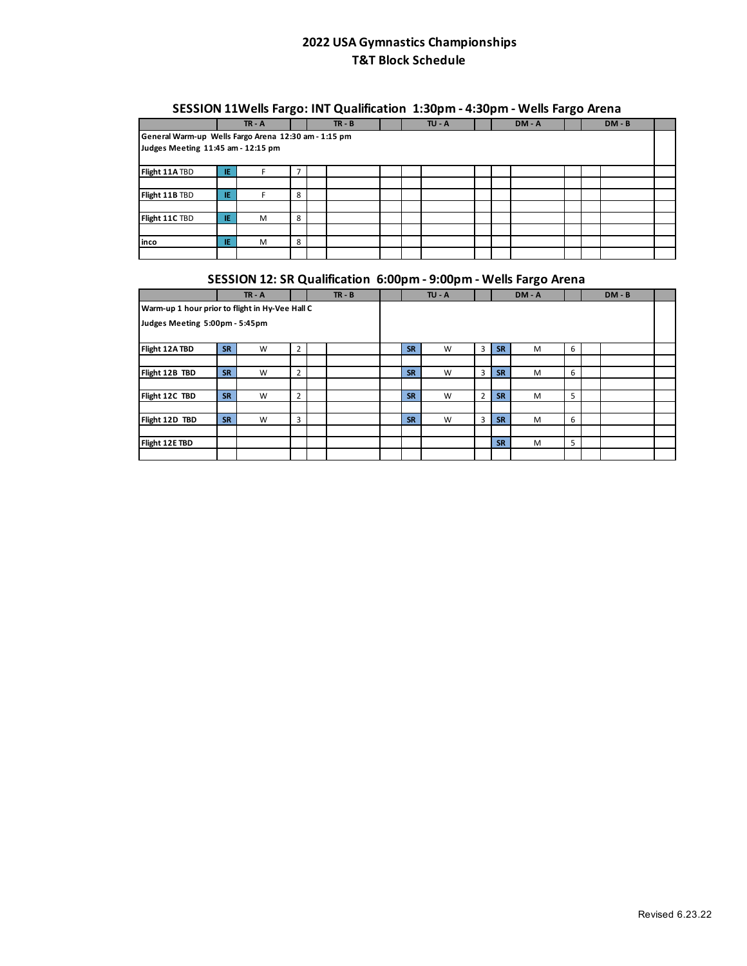### **SESSION 11Wells Fargo: INT Qualification 1:30pm - 4:30pm - Wells Fargo Arena**

|                                                                                            |     | $TR - A$ |   |  | $TR - B$ |  |  | $TU - A$ |  |  | $DM - A$ |  |  | $DM - B$ |  |
|--------------------------------------------------------------------------------------------|-----|----------|---|--|----------|--|--|----------|--|--|----------|--|--|----------|--|
| General Warm-up Wells Fargo Arena 12:30 am - 1:15 pm<br>Judges Meeting 11:45 am - 12:15 pm |     |          |   |  |          |  |  |          |  |  |          |  |  |          |  |
| Flight 11A TBD                                                                             | IE. |          | 7 |  |          |  |  |          |  |  |          |  |  |          |  |
|                                                                                            |     |          |   |  |          |  |  |          |  |  |          |  |  |          |  |
| Flight 11B TBD                                                                             | Æ   | F        | 8 |  |          |  |  |          |  |  |          |  |  |          |  |
|                                                                                            |     |          |   |  |          |  |  |          |  |  |          |  |  |          |  |
| Flight 11C TBD                                                                             | -IE | M        | 8 |  |          |  |  |          |  |  |          |  |  |          |  |
|                                                                                            |     |          |   |  |          |  |  |          |  |  |          |  |  |          |  |
| linco                                                                                      | Æ   | M        | 8 |  |          |  |  |          |  |  |          |  |  |          |  |
|                                                                                            |     |          |   |  |          |  |  |          |  |  |          |  |  |          |  |

# **SESSION 12: SR Qualification 6:00pm - 9:00pm - Wells Fargo Arena**

|                                                 |           | $TR - A$ |                | $TR - B$ |           | $TU - A$ |   |           | DM-A |   | $DM - B$ |  |
|-------------------------------------------------|-----------|----------|----------------|----------|-----------|----------|---|-----------|------|---|----------|--|
| Warm-up 1 hour prior to flight in Hy-Vee Hall C |           |          |                |          |           |          |   |           |      |   |          |  |
| Judges Meeting 5:00pm - 5:45pm                  |           |          |                |          |           |          |   |           |      |   |          |  |
|                                                 |           |          |                |          |           |          |   |           |      |   |          |  |
| Flight 12A TBD                                  | <b>SR</b> | W        | $\overline{2}$ |          | <b>SR</b> | W        | 3 | <b>SR</b> | M    | 6 |          |  |
|                                                 |           |          |                |          |           |          |   |           |      |   |          |  |
| Flight 12B TBD                                  | <b>SR</b> | W        | 2              |          | <b>SR</b> | W        | 3 | <b>SR</b> | M    | 6 |          |  |
|                                                 |           |          |                |          |           |          |   |           |      |   |          |  |
| Flight 12C TBD                                  | <b>SR</b> | W        | $\overline{2}$ |          | <b>SR</b> | W        | 2 | <b>SR</b> | M    | 5 |          |  |
|                                                 |           |          |                |          |           |          |   |           |      |   |          |  |
| Flight 12D TBD                                  | <b>SR</b> | W        | 3              |          | <b>SR</b> | W        | 3 | <b>SR</b> | M    | 6 |          |  |
|                                                 |           |          |                |          |           |          |   |           |      |   |          |  |
| Flight 12E TBD                                  |           |          |                |          |           |          |   | <b>SR</b> | M    | 5 |          |  |
|                                                 |           |          |                |          |           |          |   |           |      |   |          |  |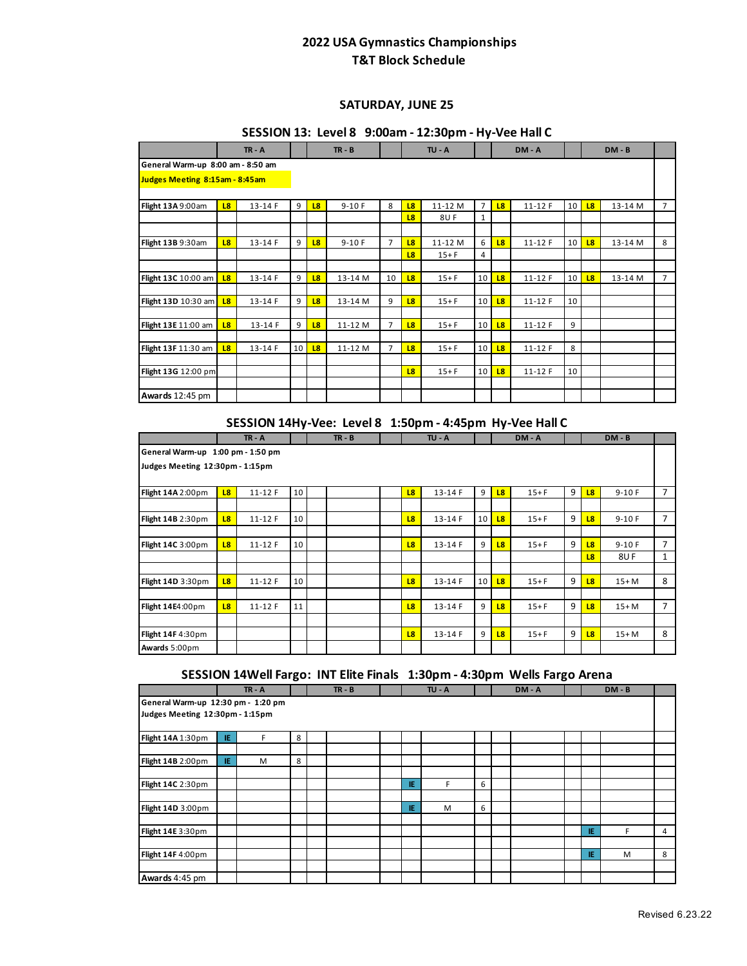#### **SATURDAY, JUNE 25**

### **SESSION 13: Level 8 9:00am - 12:30pm - Hy-Vee Hall C**

|                                   |                | $TR - A$ |    | $TR - B$ |         |                | $TU - A$       |          |                 |                | DM - A     |                 | $DM - B$ |         |                |
|-----------------------------------|----------------|----------|----|----------|---------|----------------|----------------|----------|-----------------|----------------|------------|-----------------|----------|---------|----------------|
| General Warm-up 8:00 am - 8:50 am |                |          |    |          |         |                |                |          |                 |                |            |                 |          |         |                |
| Judges Meeting 8:15am - 8:45am    |                |          |    |          |         |                |                |          |                 |                |            |                 |          |         |                |
| Flight 13A9:00am                  | 18             | 13-14 F  | 9  | L8       | $9-10F$ | 8              | L <sub>8</sub> | 11-12 M  | $\overline{7}$  | L8             | $11 - 12F$ | 10 <sup>1</sup> | L8       | 13-14 M | $\overline{7}$ |
|                                   |                |          |    |          |         |                | L <sub>8</sub> | 8UF      | $\mathbf{1}$    |                |            |                 |          |         |                |
|                                   |                |          |    |          |         |                |                |          |                 |                |            |                 |          |         |                |
| Flight 13B 9:30am                 | L <sub>8</sub> | 13-14 F  | 9  | 18       | $9-10F$ | 7              | 18             | 11-12 M  | 6               | 18             | $11 - 12F$ | 10              | 18       | 13-14 M | 8              |
|                                   |                |          |    |          |         |                | L <sub>8</sub> | $15 + F$ | 4               |                |            |                 |          |         |                |
|                                   |                |          |    |          |         |                |                |          |                 |                |            |                 |          |         |                |
| Flight 13C 10:00 am               | L <sub>8</sub> | 13-14 F  | 9  | 18       | 13-14 M | 10             | 18             | $15 + F$ | 10              | L <sub>8</sub> | $11-12F$   | 10              | 18       | 13-14 M | $\overline{7}$ |
|                                   |                |          |    |          |         |                |                |          |                 |                |            |                 |          |         |                |
| Flight 13D 10:30 am               | 18             | 13-14 F  | 9  | 18       | 13-14 M | 9              | L <sub>8</sub> | $15 + F$ | 10              | L <sub>8</sub> | $11 - 12F$ | 10              |          |         |                |
|                                   |                |          |    |          |         |                |                |          |                 |                |            |                 |          |         |                |
| Flight 13E 11:00 am               | L <sub>8</sub> | 13-14 F  | 9  | 18       | 11-12 M | $\overline{7}$ | L8             | $15+F$   | 10 <sup>1</sup> | L8             | $11 - 12F$ | 9               |          |         |                |
|                                   |                |          |    |          |         |                |                |          |                 |                |            |                 |          |         |                |
| Flight 13F 11:30 am               | L <sub>8</sub> | 13-14 F  | 10 | L8       | 11-12 M | 7              | L8             | $15 + F$ | 10              | L8             | $11-12F$   | 8               |          |         |                |
|                                   |                |          |    |          |         |                |                |          |                 |                |            |                 |          |         |                |
| Flight 13G 12:00 pm               |                |          |    |          |         |                | L8             | $15 + F$ | 10              | L <sub>8</sub> | $11-12F$   | 10              |          |         |                |
|                                   |                |          |    |          |         |                |                |          |                 |                |            |                 |          |         |                |
| Awards 12:45 pm                   |                |          |    |          |         |                |                |          |                 |                |            |                 |          |         |                |

#### **SESSION 14Hy-Vee: Level 8 1:50pm - 4:45pm Hy-Vee Hall C**

|                                   |                | $TR - A$   |    | $TR - B$ |  |                | $TU - A$ |    |                | DM-A     |   | $DM - B$ |         |                |
|-----------------------------------|----------------|------------|----|----------|--|----------------|----------|----|----------------|----------|---|----------|---------|----------------|
| General Warm-up 1:00 pm - 1:50 pm |                |            |    |          |  |                |          |    |                |          |   |          |         |                |
| Judges Meeting 12:30pm - 1:15pm   |                |            |    |          |  |                |          |    |                |          |   |          |         |                |
| Flight 14A 2:00pm                 | L8             | $11 - 12F$ | 10 |          |  | L <sub>8</sub> | 13-14 F  | 9  | L <sub>8</sub> | $15 + F$ | 9 | 18       | $9-10F$ | $\overline{7}$ |
|                                   |                |            |    |          |  |                |          |    |                |          |   |          |         |                |
| Flight 14B 2:30pm                 | L <sub>8</sub> | $11-12F$   | 10 |          |  | <b>L8</b>      | 13-14 F  | 10 | L <sub>8</sub> | $15+F$   | 9 | 18       | $9-10F$ | $\overline{7}$ |
|                                   |                |            |    |          |  |                |          |    |                |          |   |          |         |                |
| Flight 14C 3:00pm                 | L <sub>8</sub> | $11 - 12F$ | 10 |          |  | L <sub>8</sub> | 13-14 F  | 9  | 18             | $15+F$   | 9 | 18       | $9-10F$ | $\overline{7}$ |
|                                   |                |            |    |          |  |                |          |    |                |          |   | 18       | 8UF     | $\mathbf{1}$   |
|                                   |                |            |    |          |  |                |          |    |                |          |   |          |         |                |
| Flight 14D 3:30pm                 | L <sub>8</sub> | $11 - 12F$ | 10 |          |  | L <sub>8</sub> | 13-14 F  | 10 | L <sub>8</sub> | $15+F$   | 9 | 18       | $15+M$  | 8              |
|                                   |                |            |    |          |  |                |          |    |                |          |   |          |         |                |
| Flight 14E4:00pm                  | L <sub>8</sub> | $11 - 12F$ | 11 |          |  | L <sub>8</sub> | 13-14 F  | 9  | 18             | $15+F$   | 9 | 18       | $15+M$  | $\overline{7}$ |
|                                   |                |            |    |          |  |                |          |    |                |          |   |          |         |                |
| Flight 14F 4:30pm                 |                |            |    |          |  | L <sub>8</sub> | 13-14 F  | 9  | L <sub>8</sub> | $15+F$   | 9 | 18       | $15+M$  | 8              |
| Awards 5:00pm                     |                |            |    |          |  |                |          |    |                |          |   |          |         |                |

### **SESSION 14Well Fargo: INT Elite Finals 1:30pm - 4:30pm Wells Fargo Arena**

|                                    |     | $TR - A$ |   | $TR - B$ |  |     | $TU - A$ |   |  | DM-A |  |    | $DM - B$ |   |
|------------------------------------|-----|----------|---|----------|--|-----|----------|---|--|------|--|----|----------|---|
| General Warm-up 12:30 pm - 1:20 pm |     |          |   |          |  |     |          |   |  |      |  |    |          |   |
| Judges Meeting 12:30pm - 1:15pm    |     |          |   |          |  |     |          |   |  |      |  |    |          |   |
| Flight 14A 1:30pm                  | IE  | F        | 8 |          |  |     |          |   |  |      |  |    |          |   |
|                                    |     |          |   |          |  |     |          |   |  |      |  |    |          |   |
| Flight 14B 2:00pm                  | IE. | M        | 8 |          |  |     |          |   |  |      |  |    |          |   |
|                                    |     |          |   |          |  |     |          |   |  |      |  |    |          |   |
| Flight 14C 2:30pm                  |     |          |   |          |  | IE. | F        | 6 |  |      |  |    |          |   |
|                                    |     |          |   |          |  |     |          |   |  |      |  |    |          |   |
| Flight 14D 3:00pm                  |     |          |   |          |  | IE. | M        | 6 |  |      |  |    |          |   |
|                                    |     |          |   |          |  |     |          |   |  |      |  |    |          |   |
| Flight 14E 3:30pm                  |     |          |   |          |  |     |          |   |  |      |  | ΙE | F        | 4 |
|                                    |     |          |   |          |  |     |          |   |  |      |  |    |          |   |
| Flight 14F 4:00pm                  |     |          |   |          |  |     |          |   |  |      |  | ΙE | M        | 8 |
|                                    |     |          |   |          |  |     |          |   |  |      |  |    |          |   |
| Awards 4:45 pm                     |     |          |   |          |  |     |          |   |  |      |  |    |          |   |